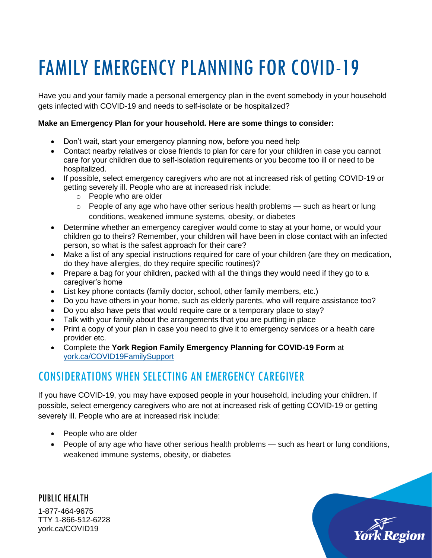## FAMILY EMERGENCY PLANNING FOR COVID-19

Have you and your family made a personal emergency plan in the event somebody in your household gets infected with COVID-19 and needs to self-isolate or be hospitalized?

## **Make an Emergency Plan for your household. Here are some things to consider:**

- Don't wait, start your emergency planning now, before you need help
- Contact nearby relatives or close friends to plan for care for your children in case you cannot care for your children due to self-isolation requirements or you become too ill or need to be hospitalized.
- If possible, select emergency caregivers who are not at increased risk of getting COVID-19 or getting severely ill. People who are at increased risk include:
	- o People who are older
	- $\circ$  People of any age who have other serious health problems such as heart or lung conditions, weakened immune systems, obesity, or diabetes
- Determine whether an emergency caregiver would come to stay at your home, or would your children go to theirs? Remember, your children will have been in close contact with an infected person, so what is the safest approach for their care?
- Make a list of any special instructions required for care of your children (are they on medication, do they have allergies, do they require specific routines)?
- Prepare a bag for your children, packed with all the things they would need if they go to a caregiver's home
- List key phone contacts (family doctor, school, other family members, etc.)
- Do you have others in your home, such as elderly parents, who will require assistance too?
- Do you also have pets that would require care or a temporary place to stay?
- Talk with your family about the arrangements that you are putting in place
- Print a copy of your plan in case you need to give it to emergency services or a health care provider etc.
- Complete the **York Region Family Emergency Planning for COVID-19 Form** at [york.ca/COVID19FamilySupport](https://www.york.ca/wps/portal/yorkhome/health/yr/covid-19/supportsforfamilieswithyoungchildren/05supportsforfamilieswithyoungchildren/)

## CONSIDERATIONS WHEN SELECTING AN EMERGENCY CAREGIVER

If you have COVID-19, you may have exposed people in your household, including your children. If possible, select emergency caregivers who are not at increased risk of getting COVID-19 or getting severely ill. People who are at increased risk include:

- People who are older
- People of any age who have other serious health problems such as heart or lung conditions, weakened immune systems, obesity, or diabetes

PUBLIC HEALTH 1-877-464-9675 TTY 1-866-512-6228 york.ca/COVID19